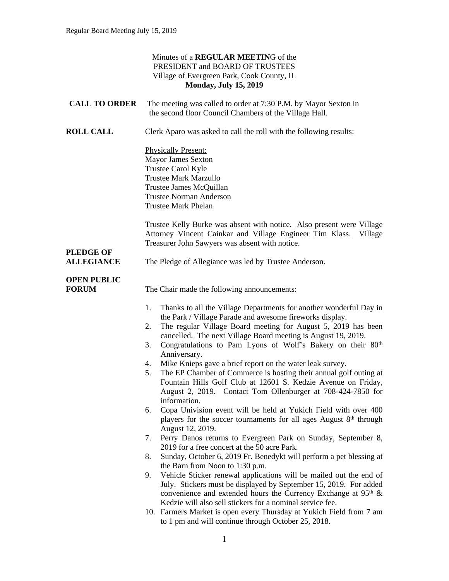|                                       | Minutes of a REGULAR MEETING of the<br>PRESIDENT and BOARD OF TRUSTEES<br>Village of Evergreen Park, Cook County, IL<br><b>Monday, July 15, 2019</b>                                                                                                                                                                                                              |
|---------------------------------------|-------------------------------------------------------------------------------------------------------------------------------------------------------------------------------------------------------------------------------------------------------------------------------------------------------------------------------------------------------------------|
| <b>CALL TO ORDER</b>                  | The meeting was called to order at 7:30 P.M. by Mayor Sexton in<br>the second floor Council Chambers of the Village Hall.                                                                                                                                                                                                                                         |
| <b>ROLL CALL</b>                      | Clerk Aparo was asked to call the roll with the following results:                                                                                                                                                                                                                                                                                                |
|                                       | <b>Physically Present:</b><br><b>Mayor James Sexton</b><br>Trustee Carol Kyle<br><b>Trustee Mark Marzullo</b><br>Trustee James McQuillan<br><b>Trustee Norman Anderson</b><br><b>Trustee Mark Phelan</b>                                                                                                                                                          |
|                                       | Trustee Kelly Burke was absent with notice. Also present were Village<br>Attorney Vincent Cainkar and Village Engineer Tim Klass.<br>Village<br>Treasurer John Sawyers was absent with notice.                                                                                                                                                                    |
| <b>PLEDGE OF</b><br><b>ALLEGIANCE</b> | The Pledge of Allegiance was led by Trustee Anderson.                                                                                                                                                                                                                                                                                                             |
| <b>OPEN PUBLIC</b><br><b>FORUM</b>    | The Chair made the following announcements:                                                                                                                                                                                                                                                                                                                       |
|                                       | Thanks to all the Village Departments for another wonderful Day in<br>1.<br>the Park / Village Parade and awesome fireworks display.<br>The regular Village Board meeting for August 5, 2019 has been<br>2.<br>cancelled. The next Village Board meeting is August 19, 2019.<br>Congratulations to Pam Lyons of Wolf's Bakery on their 80th<br>3.<br>Anniversary. |
|                                       | Mike Knieps gave a brief report on the water leak survey.<br>4.<br>The EP Chamber of Commerce is hosting their annual golf outing at<br>5.<br>Fountain Hills Golf Club at 12601 S. Kedzie Avenue on Friday,<br>Contact Tom Ollenburger at 708-424-7850 for<br>August 2, 2019.<br>information.                                                                     |
|                                       | Copa Univision event will be held at Yukich Field with over 400<br>6.<br>players for the soccer tournaments for all ages August 8th through<br>August 12, 2019.                                                                                                                                                                                                   |
|                                       | Perry Danos returns to Evergreen Park on Sunday, September 8,<br>7.<br>2019 for a free concert at the 50 acre Park.                                                                                                                                                                                                                                               |
|                                       | Sunday, October 6, 2019 Fr. Benedykt will perform a pet blessing at<br>8.<br>the Barn from Noon to 1:30 p.m.                                                                                                                                                                                                                                                      |
|                                       | Vehicle Sticker renewal applications will be mailed out the end of<br>9.<br>July. Stickers must be displayed by September 15, 2019. For added<br>convenience and extended hours the Currency Exchange at $95th$ &<br>Kedzie will also sell stickers for a nominal service fee.                                                                                    |
|                                       | 10. Farmers Market is open every Thursday at Yukich Field from 7 am<br>to 1 pm and will continue through October 25, 2018.                                                                                                                                                                                                                                        |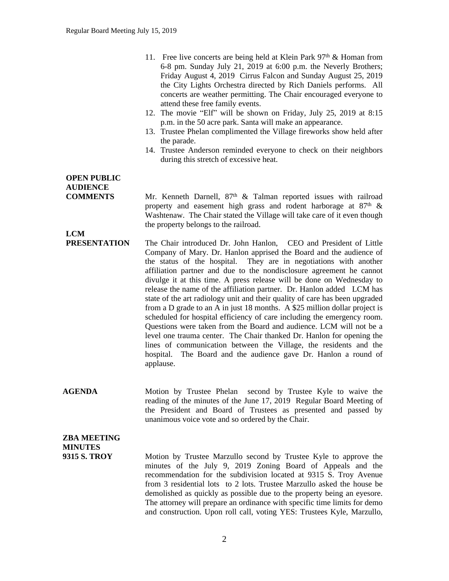- 11. Free live concerts are being held at Klein Park  $97<sup>th</sup>$  & Homan from 6-8 pm. Sunday July 21, 2019 at 6:00 p.m. the Neverly Brothers; Friday August 4, 2019 Cirrus Falcon and Sunday August 25, 2019 the City Lights Orchestra directed by Rich Daniels performs. All concerts are weather permitting. The Chair encouraged everyone to attend these free family events.
- 12. The movie "Elf" will be shown on Friday, July 25, 2019 at 8:15 p.m. in the 50 acre park. Santa will make an appearance.
- 13. Trustee Phelan complimented the Village fireworks show held after the parade.
- 14. Trustee Anderson reminded everyone to check on their neighbors during this stretch of excessive heat.

# **OPEN PUBLIC AUDIENCE**

**COMMENTS** Mr. Kenneth Darnell, 87<sup>th</sup> & Talman reported issues with railroad property and easement high grass and rodent harborage at  $87<sup>th</sup>$  & Washtenaw. The Chair stated the Village will take care of it even though the property belongs to the railroad.

- **LCM<br>PRESENTATION** The Chair introduced Dr. John Hanlon, CEO and President of Little Company of Mary. Dr. Hanlon apprised the Board and the audience of the status of the hospital. They are in negotiations with another affiliation partner and due to the nondisclosure agreement he cannot divulge it at this time. A press release will be done on Wednesday to release the name of the affiliation partner. Dr. Hanlon added LCM has state of the art radiology unit and their quality of care has been upgraded from a D grade to an A in just 18 months. A \$25 million dollar project is scheduled for hospital efficiency of care including the emergency room. Questions were taken from the Board and audience. LCM will not be a level one trauma center. The Chair thanked Dr. Hanlon for opening the lines of communication between the Village, the residents and the hospital. The Board and the audience gave Dr. Hanlon a round of applause.
- AGENDA Motion by Trustee Phelan second by Trustee Kyle to waive the reading of the minutes of the June 17, 2019 Regular Board Meeting of the President and Board of Trustees as presented and passed by unanimous voice vote and so ordered by the Chair.

# **ZBA MEETING MINUTES**

**9315 S. TROY** Motion by Trustee Marzullo second by Trustee Kyle to approve the minutes of the July 9, 2019 Zoning Board of Appeals and the recommendation for the subdivision located at 9315 S. Troy Avenue from 3 residential lots to 2 lots. Trustee Marzullo asked the house be demolished as quickly as possible due to the property being an eyesore. The attorney will prepare an ordinance with specific time limits for demo and construction. Upon roll call, voting YES: Trustees Kyle, Marzullo,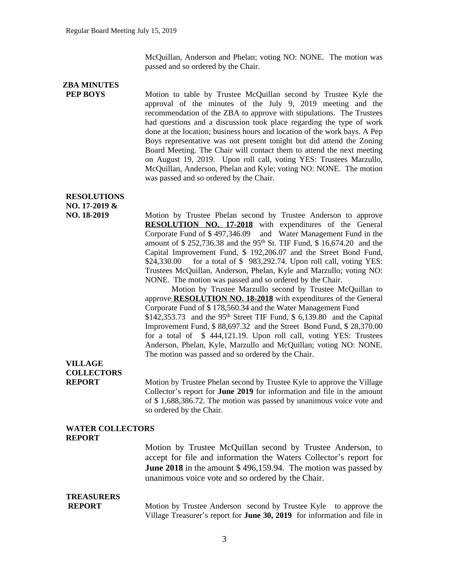McQuillan, Anderson and Phelan; voting NO: NONE. The motion was passed and so ordered by the Chair.

# **ZBA MINUTES**

**PEP BOYS** Motion to table by Trustee McQuillan second by Trustee Kyle the approval of the minutes of the July 9, 2019 meeting and the recommendation of the ZBA to approve with stipulations. The Trustees had questions and a discussion took place regarding the type of work done at the location; business hours and location of the work bays. A Pep Boys representative was not present tonight but did attend the Zoning Board Meeting. The Chair will contact them to attend the next meeting on August 19, 2019. Upon roll call, voting YES: Trustees Marzullo, McQuillan, Anderson, Phelan and Kyle; voting NO: NONE. The motion was passed and so ordered by the Chair.

### **RESOLUTIONS NO. 17-2019 &**

**NO. 18-2019** Motion by Trustee Phelan second by Trustee Anderson to approve **RESOLUTION NO. 17-2018** with expenditures of the General Corporate Fund of \$ 497,346.09 and Water Management Fund in the amount of \$ 252,736.38 and the 95th St. TIF Fund, \$ 16,674.20 and the Capital Improvement Fund, \$ 192,206.07 and the Street Bond Fund, \$24,330.00 for a total of \$ 983,292.74. Upon roll call, voting YES: Trustees McQuillan, Anderson, Phelan, Kyle and Marzullo; voting NO: NONE. The motion was passed and so ordered by the Chair.

> Motion by Trustee Marzullo second by Trustee McQuillan to approve **RESOLUTION NO. 18-2018** with expenditures of the General Corporate Fund of \$ 178,560.34 and the Water Management Fund  $$142,353.73$  and the 95<sup>th</sup> Street TIF Fund,  $$6,139.80$  and the Capital Improvement Fund, \$ 88,697.32 and the Street Bond Fund, \$ 28,370.00 for a total of \$ 444,121.19. Upon roll call, voting YES: Trustees Anderson, Phelan, Kyle, Marzullo and McQuillan; voting NO: NONE. The motion was passed and so ordered by the Chair.

## **VILLAGE COLLECTORS**

**REPORT** Motion by Trustee Phelan second by Trustee Kyle to approve the Village Collector's report for **June 2019** for information and file in the amount of \$ 1,688,386.72. The motion was passed by unanimous voice vote and so ordered by the Chair.

#### **WATER COLLECTORS REPORT**

Motion by Trustee McQuillan second by Trustee Anderson, to accept for file and information the Waters Collector's report for **June 2018** in the amount \$ 496,159.94. The motion was passed by unanimous voice vote and so ordered by the Chair.

#### **TREASURERS**

**REPORT** Motion by Trustee Anderson second by Trustee Kyle to approve the Village Treasurer's report for **June 30, 2019** for information and file in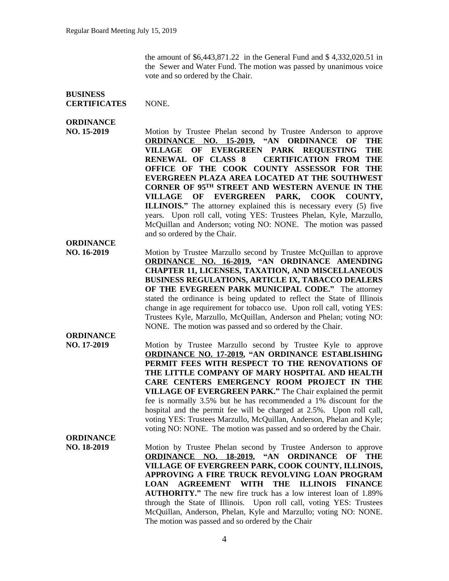the amount of \$6,443,871.22 in the General Fund and \$ 4,332,020.51 in the Sewer and Water Fund. The motion was passed by unanimous voice vote and so ordered by the Chair.

#### **BUSINESS CERTIFICATES** NONE.

### **ORDINANCE**

**ORDINANCE**

**ORDINANCE**

**NO. 15-2019** Motion by Trustee Phelan second by Trustee Anderson to approve **ORDINANCE NO. 15-2019, "AN ORDINANCE OF THE VILLAGE OF EVERGREEN PARK REQUESTING THE RENEWAL OF CLASS 8 CERTIFICATION FROM THE OFFICE OF THE COOK COUNTY ASSESSOR FOR THE EVERGREEN PLAZA AREA LOCATED AT THE SOUTHWEST CORNER OF 95TH STREET AND WESTERN AVENUE IN THE VILLAGE OF EVERGREEN PARK, COOK COUNTY, ILLINOIS."** The attorney explained this is necessary every (5) five years. Upon roll call, voting YES: Trustees Phelan, Kyle, Marzullo, McQuillan and Anderson; voting NO: NONE. The motion was passed and so ordered by the Chair.

**NO. 16-2019** Motion by Trustee Marzullo second by Trustee McQuillan to approve **ORDINANCE NO. 16-2019, "AN ORDINANCE AMENDING CHAPTER 11, LICENSES, TAXATION, AND MISCELLANEOUS BUSINESS REGULATIONS, ARTICLE IX, TABACCO DEALERS OF THE EVEGREEN PARK MUNICIPAL CODE."** The attorney stated the ordinance is being updated to reflect the State of Illinois change in age requirement for tobacco use. Upon roll call, voting YES: Trustees Kyle, Marzullo, McQuillan, Anderson and Phelan; voting NO: NONE. The motion was passed and so ordered by the Chair.

**NO. 17-2019** Motion by Trustee Marzullo second by Trustee Kyle to approve **ORDINANCE NO. 17-2019, "AN ORDINANCE ESTABLISHING PERMIT FEES WITH RESPECT TO THE RENOVATIONS OF THE LITTLE COMPANY OF MARY HOSPITAL AND HEALTH CARE CENTERS EMERGENCY ROOM PROJECT IN THE VILLAGE OF EVERGREEN PARK."** The Chair explained the permit fee is normally 3.5% but he has recommended a 1% discount for the hospital and the permit fee will be charged at 2.5%. Upon roll call, voting YES: Trustees Marzullo, McQuillan, Anderson, Phelan and Kyle; voting NO: NONE. The motion was passed and so ordered by the Chair. **ORDINANCE**

**NO. 18-2019** Motion by Trustee Phelan second by Trustee Anderson to approve **ORDINANCE NO. 18-2019, "AN ORDINANCE OF THE VILLAGE OF EVERGREEN PARK, COOK COUNTY, ILLINOIS, APPROVING A FIRE TRUCK REVOLVING LOAN PROGRAM LOAN AGREEMENT WITH THE ILLINOIS FINANCE AUTHORITY."** The new fire truck has a low interest loan of 1.89% through the State of Illinois. Upon roll call, voting YES: Trustees McQuillan, Anderson, Phelan, Kyle and Marzullo; voting NO: NONE. The motion was passed and so ordered by the Chair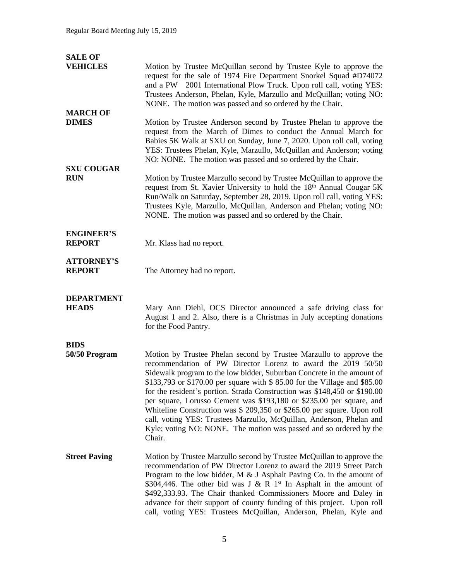| <b>SALE OF</b>                     |                                                                                                                                                                                                                                                                                                                                                                                                                                                                                                                                                                                                                                                                                   |
|------------------------------------|-----------------------------------------------------------------------------------------------------------------------------------------------------------------------------------------------------------------------------------------------------------------------------------------------------------------------------------------------------------------------------------------------------------------------------------------------------------------------------------------------------------------------------------------------------------------------------------------------------------------------------------------------------------------------------------|
| <b>VEHICLES</b>                    | Motion by Trustee McQuillan second by Trustee Kyle to approve the<br>request for the sale of 1974 Fire Department Snorkel Squad #D74072<br>and a PW 2001 International Plow Truck. Upon roll call, voting YES:<br>Trustees Anderson, Phelan, Kyle, Marzullo and McQuillan; voting NO:<br>NONE. The motion was passed and so ordered by the Chair.                                                                                                                                                                                                                                                                                                                                 |
| <b>MARCH OF</b><br><b>DIMES</b>    | Motion by Trustee Anderson second by Trustee Phelan to approve the<br>request from the March of Dimes to conduct the Annual March for<br>Babies 5K Walk at SXU on Sunday, June 7, 2020. Upon roll call, voting<br>YES: Trustees Phelan, Kyle, Marzullo, McQuillan and Anderson; voting<br>NO: NONE. The motion was passed and so ordered by the Chair.                                                                                                                                                                                                                                                                                                                            |
| <b>SXU COUGAR</b><br><b>RUN</b>    | Motion by Trustee Marzullo second by Trustee McQuillan to approve the<br>request from St. Xavier University to hold the 18th Annual Cougar 5K<br>Run/Walk on Saturday, September 28, 2019. Upon roll call, voting YES:<br>Trustees Kyle, Marzullo, McQuillan, Anderson and Phelan; voting NO:<br>NONE. The motion was passed and so ordered by the Chair.                                                                                                                                                                                                                                                                                                                         |
| <b>ENGINEER'S</b><br><b>REPORT</b> | Mr. Klass had no report.                                                                                                                                                                                                                                                                                                                                                                                                                                                                                                                                                                                                                                                          |
| <b>ATTORNEY'S</b><br><b>REPORT</b> | The Attorney had no report.                                                                                                                                                                                                                                                                                                                                                                                                                                                                                                                                                                                                                                                       |
| <b>DEPARTMENT</b><br><b>HEADS</b>  | Mary Ann Diehl, OCS Director announced a safe driving class for<br>August 1 and 2. Also, there is a Christmas in July accepting donations<br>for the Food Pantry.                                                                                                                                                                                                                                                                                                                                                                                                                                                                                                                 |
| <b>BIDS</b><br>50/50 Program       | Motion by Trustee Phelan second by Trustee Marzullo to approve the<br>recommendation of PW Director Lorenz to award the 2019 50/50<br>Sidewalk program to the low bidder, Suburban Concrete in the amount of<br>\$133,793 or \$170.00 per square with \$85.00 for the Village and \$85.00<br>for the resident's portion. Strada Construction was \$148,450 or \$190.00<br>per square, Lorusso Cement was \$193,180 or \$235.00 per square, and<br>Whiteline Construction was \$ 209,350 or \$265.00 per square. Upon roll<br>call, voting YES: Trustees Marzullo, McQuillan, Anderson, Phelan and<br>Kyle; voting NO: NONE. The motion was passed and so ordered by the<br>Chair. |
| <b>Street Paving</b>               | Motion by Trustee Marzullo second by Trustee McQuillan to approve the<br>recommendation of PW Director Lorenz to award the 2019 Street Patch<br>Program to the low bidder, M $\&$ J Asphalt Paving Co. in the amount of<br>\$304,446. The other bid was J & R $1st$ In Asphalt in the amount of<br>\$492,333.93. The Chair thanked Commissioners Moore and Daley in<br>advance for their support of county funding of this project. Upon roll<br>call, voting YES: Trustees McQuillan, Anderson, Phelan, Kyle and                                                                                                                                                                 |